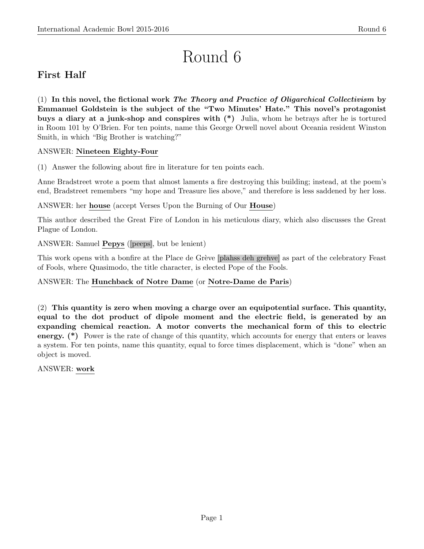# Round 6

# First Half

(1) In this novel, the fictional work The Theory and Practice of Oligarchical Collectivism by Emmanuel Goldstein is the subject of the "Two Minutes' Hate." This novel's protagonist buys a diary at a junk-shop and conspires with (\*) Julia, whom he betrays after he is tortured in Room 101 by O'Brien. For ten points, name this George Orwell novel about Oceania resident Winston Smith, in which "Big Brother is watching?"

# ANSWER: Nineteen Eighty-Four

(1) Answer the following about fire in literature for ten points each.

Anne Bradstreet wrote a poem that almost laments a fire destroying this building; instead, at the poem's end, Bradstreet remembers "my hope and Treasure lies above," and therefore is less saddened by her loss.

ANSWER: her house (accept Verses Upon the Burning of Our House)

This author described the Great Fire of London in his meticulous diary, which also discusses the Great Plague of London.

ANSWER: Samuel Pepys ([peeps], but be lenient)

This work opens with a bonfire at the Place de Grève [plahss deh grehve] as part of the celebratory Feast of Fools, where Quasimodo, the title character, is elected Pope of the Fools.

# ANSWER: The Hunchback of Notre Dame (or Notre-Dame de Paris)

(2) This quantity is zero when moving a charge over an equipotential surface. This quantity, equal to the dot product of dipole moment and the electric field, is generated by an expanding chemical reaction. A motor converts the mechanical form of this to electric energy. (\*) Power is the rate of change of this quantity, which accounts for energy that enters or leaves a system. For ten points, name this quantity, equal to force times displacement, which is "done" when an object is moved.

ANSWER: work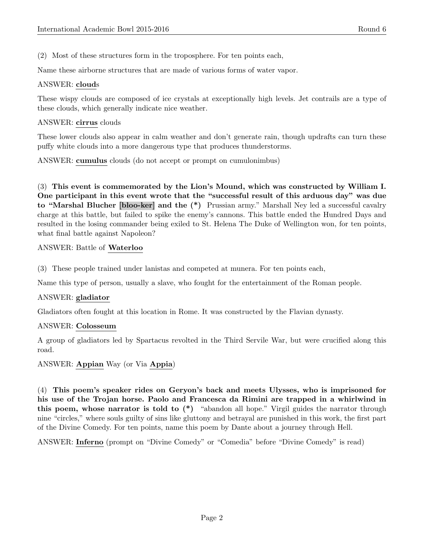(2) Most of these structures form in the troposphere. For ten points each,

Name these airborne structures that are made of various forms of water vapor.

# ANSWER: clouds

These wispy clouds are composed of ice crystals at exceptionally high levels. Jet contrails are a type of these clouds, which generally indicate nice weather.

### ANSWER: cirrus clouds

These lower clouds also appear in calm weather and don't generate rain, though updrafts can turn these puffy white clouds into a more dangerous type that produces thunderstorms.

ANSWER: cumulus clouds (do not accept or prompt on cumulonimbus)

(3) This event is commemorated by the Lion's Mound, which was constructed by William I. One participant in this event wrote that the "successful result of this arduous day" was due to "Marshal Blucher [bloo-ker] and the (\*) Prussian army." Marshall Ney led a successful cavalry charge at this battle, but failed to spike the enemy's cannons. This battle ended the Hundred Days and resulted in the losing commander being exiled to St. Helena The Duke of Wellington won, for ten points, what final battle against Napoleon?

# ANSWER: Battle of Waterloo

(3) These people trained under lanistas and competed at munera. For ten points each,

Name this type of person, usually a slave, who fought for the entertainment of the Roman people.

#### ANSWER: gladiator

Gladiators often fought at this location in Rome. It was constructed by the Flavian dynasty.

#### ANSWER: Colosseum

A group of gladiators led by Spartacus revolted in the Third Servile War, but were crucified along this road.

ANSWER: Appian Way (or Via Appia)

(4) This poem's speaker rides on Geryon's back and meets Ulysses, who is imprisoned for his use of the Trojan horse. Paolo and Francesca da Rimini are trapped in a whirlwind in this poem, whose narrator is told to  $(*)$  "abandon all hope." Virgil guides the narrator through nine "circles," where souls guilty of sins like gluttony and betrayal are punished in this work, the first part of the Divine Comedy. For ten points, name this poem by Dante about a journey through Hell.

ANSWER: Inferno (prompt on "Divine Comedy" or "Comedia" before "Divine Comedy" is read)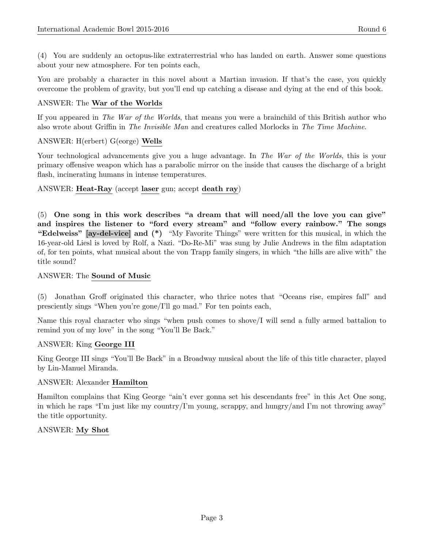You are probably a character in this novel about a Martian invasion. If that's the case, you quickly overcome the problem of gravity, but you'll end up catching a disease and dying at the end of this book.

# ANSWER: The War of the Worlds

If you appeared in The War of the Worlds, that means you were a brainchild of this British author who also wrote about Griffin in The Invisible Man and creatures called Morlocks in The Time Machine.

# ANSWER: H(erbert) G(eorge) Wells

Your technological advancements give you a huge advantage. In The War of the Worlds, this is your primary offensive weapon which has a parabolic mirror on the inside that causes the discharge of a bright flash, incinerating humans in intense temperatures.

ANSWER: Heat-Ray (accept laser gun; accept death ray)

(5) One song in this work describes "a dream that will need/all the love you can give" and inspires the listener to "ford every stream" and "follow every rainbow." The songs "Edelweiss" [ay-del-vice] and (\*) "My Favorite Things" were written for this musical, in which the 16-year-old Liesl is loved by Rolf, a Nazi. "Do-Re-Mi" was sung by Julie Andrews in the film adaptation of, for ten points, what musical about the von Trapp family singers, in which "the hills are alive with" the title sound?

# ANSWER: The Sound of Music

(5) Jonathan Groff originated this character, who thrice notes that "Oceans rise, empires fall" and presciently sings "When you're gone/I'll go mad." For ten points each,

Name this royal character who sings "when push comes to shove/I will send a fully armed battalion to remind you of my love" in the song "You'll Be Back."

# ANSWER: King George III

King George III sings "You'll Be Back" in a Broadway musical about the life of this title character, played by Lin-Manuel Miranda.

# ANSWER: Alexander Hamilton

Hamilton complains that King George "ain't ever gonna set his descendants free" in this Act One song, in which he raps "I'm just like my country/I'm young, scrappy, and hungry/and I'm not throwing away" the title opportunity.

# ANSWER: My Shot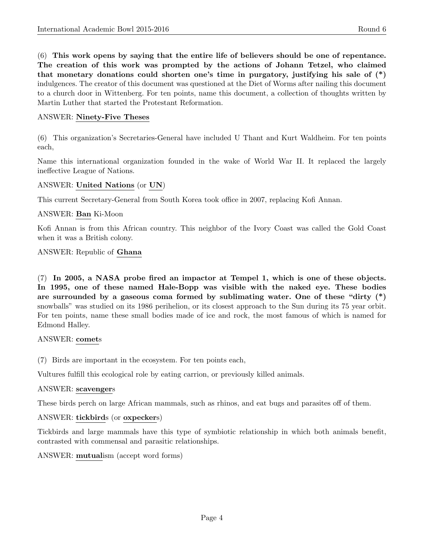(6) This work opens by saying that the entire life of believers should be one of repentance. The creation of this work was prompted by the actions of Johann Tetzel, who claimed that monetary donations could shorten one's time in purgatory, justifying his sale of (\*) indulgences. The creator of this document was questioned at the Diet of Worms after nailing this document to a church door in Wittenberg. For ten points, name this document, a collection of thoughts written by Martin Luther that started the Protestant Reformation.

# ANSWER: Ninety-Five Theses

(6) This organization's Secretaries-General have included U Thant and Kurt Waldheim. For ten points each,

Name this international organization founded in the wake of World War II. It replaced the largely ineffective League of Nations.

# ANSWER: United Nations (or UN)

This current Secretary-General from South Korea took office in 2007, replacing Kofi Annan.

# ANSWER: Ban Ki-Moon

Kofi Annan is from this African country. This neighbor of the Ivory Coast was called the Gold Coast when it was a British colony.

#### ANSWER: Republic of Ghana

(7) In 2005, a NASA probe fired an impactor at Tempel 1, which is one of these objects. In 1995, one of these named Hale-Bopp was visible with the naked eye. These bodies are surrounded by a gaseous coma formed by sublimating water. One of these "dirty  $(*)$ " snowballs" was studied on its 1986 perihelion, or its closest approach to the Sun during its 75 year orbit. For ten points, name these small bodies made of ice and rock, the most famous of which is named for Edmond Halley.

#### ANSWER: comets

(7) Birds are important in the ecosystem. For ten points each,

Vultures fulfill this ecological role by eating carrion, or previously killed animals.

#### ANSWER: scavengers

These birds perch on large African mammals, such as rhinos, and eat bugs and parasites off of them.

#### ANSWER: tickbirds (or oxpeckers)

Tickbirds and large mammals have this type of symbiotic relationship in which both animals benefit, contrasted with commensal and parasitic relationships.

#### ANSWER: mutualism (accept word forms)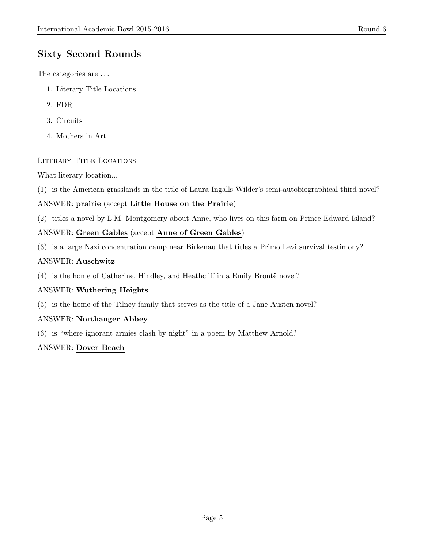# Sixty Second Rounds

The categories are . . .

- 1. Literary Title Locations
- 2. FDR
- 3. Circuits
- 4. Mothers in Art

# Literary Title Locations

What literary location...

(1) is the American grasslands in the title of Laura Ingalls Wilder's semi-autobiographical third novel?

# ANSWER: prairie (accept Little House on the Prairie)

(2) titles a novel by L.M. Montgomery about Anne, who lives on this farm on Prince Edward Island?

# ANSWER: Green Gables (accept Anne of Green Gables)

(3) is a large Nazi concentration camp near Birkenau that titles a Primo Levi survival testimony?

# ANSWER: Auschwitz

 $(4)$  is the home of Catherine, Hindley, and Heathcliff in a Emily Brontë novel?

# ANSWER: Wuthering Heights

(5) is the home of the Tilney family that serves as the title of a Jane Austen novel?

# ANSWER: Northanger Abbey

(6) is "where ignorant armies clash by night" in a poem by Matthew Arnold?

# ANSWER: Dover Beach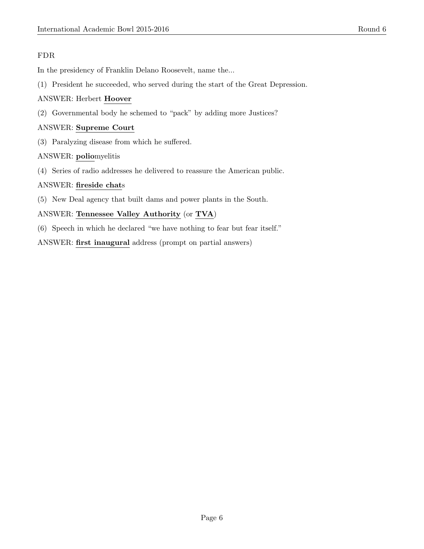# FDR

In the presidency of Franklin Delano Roosevelt, name the...

(1) President he succeeded, who served during the start of the Great Depression.

# ANSWER: Herbert Hoover

(2) Governmental body he schemed to "pack" by adding more Justices?

# ANSWER: Supreme Court

(3) Paralyzing disease from which he suffered.

# ANSWER: poliomyelitis

(4) Series of radio addresses he delivered to reassure the American public.

# ANSWER: fireside chats

(5) New Deal agency that built dams and power plants in the South.

# ANSWER: Tennessee Valley Authority (or TVA)

(6) Speech in which he declared "we have nothing to fear but fear itself."

ANSWER: first inaugural address (prompt on partial answers)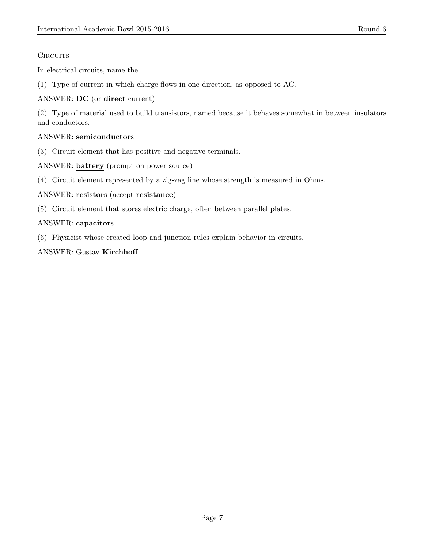# **CIRCUITS**

In electrical circuits, name the...

(1) Type of current in which charge flows in one direction, as opposed to AC.

# ANSWER: DC (or direct current)

(2) Type of material used to build transistors, named because it behaves somewhat in between insulators and conductors.

# ANSWER: semiconductors

(3) Circuit element that has positive and negative terminals.

ANSWER: battery (prompt on power source)

(4) Circuit element represented by a zig-zag line whose strength is measured in Ohms.

ANSWER: resistors (accept resistance)

(5) Circuit element that stores electric charge, often between parallel plates.

# ANSWER: capacitors

(6) Physicist whose created loop and junction rules explain behavior in circuits.

# ANSWER: Gustav Kirchhoff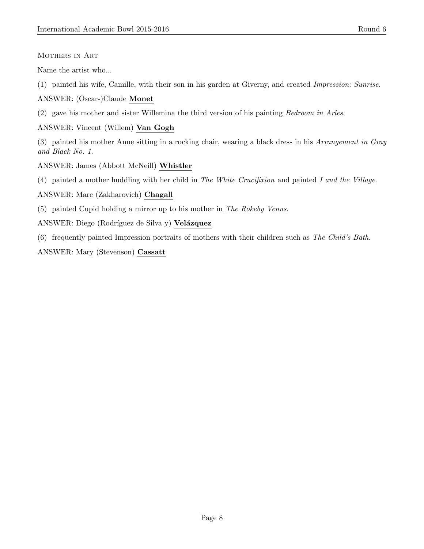# Mothers in Art

Name the artist who...

- (1) painted his wife, Camille, with their son in his garden at Giverny, and created Impression: Sunrise.
- ANSWER: (Oscar-)Claude Monet
- (2) gave his mother and sister Willemina the third version of his painting Bedroom in Arles.

# ANSWER: Vincent (Willem) Van Gogh

(3) painted his mother Anne sitting in a rocking chair, wearing a black dress in his Arrangement in Gray and Black No. 1.

ANSWER: James (Abbott McNeill) Whistler

(4) painted a mother huddling with her child in The White Crucifixion and painted I and the Village.

ANSWER: Marc (Zakharovich) Chagall

- (5) painted Cupid holding a mirror up to his mother in The Rokeby Venus.
- ANSWER: Diego (Rodríguez de Silva y) Velázquez
- (6) frequently painted Impression portraits of mothers with their children such as The Child's Bath.

ANSWER: Mary (Stevenson) Cassatt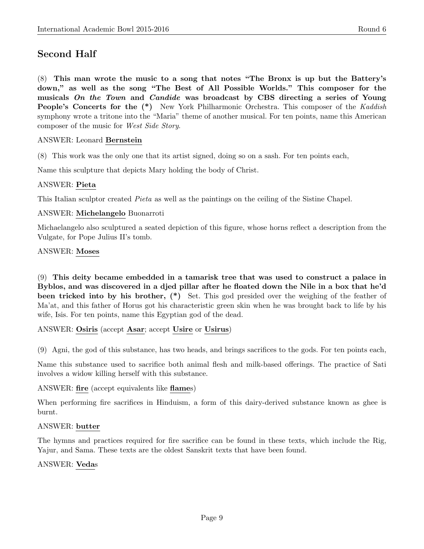# Second Half

(8) This man wrote the music to a song that notes "The Bronx is up but the Battery's down," as well as the song "The Best of All Possible Worlds." This composer for the musicals On the Town and Candide was broadcast by CBS directing a series of Young People's Concerts for the  $(*)$  New York Philharmonic Orchestra. This composer of the Kaddish symphony wrote a tritone into the "Maria" theme of another musical. For ten points, name this American composer of the music for West Side Story.

# ANSWER: Leonard Bernstein

(8) This work was the only one that its artist signed, doing so on a sash. For ten points each,

Name this sculpture that depicts Mary holding the body of Christ.

#### ANSWER: Pieta

This Italian sculptor created Pieta as well as the paintings on the ceiling of the Sistine Chapel.

#### ANSWER: Michelangelo Buonarroti

Michaelangelo also sculptured a seated depiction of this figure, whose horns reflect a description from the Vulgate, for Pope Julius II's tomb.

#### ANSWER: Moses

(9) This deity became embedded in a tamarisk tree that was used to construct a palace in Byblos, and was discovered in a djed pillar after he floated down the Nile in a box that he'd been tricked into by his brother, (\*) Set. This god presided over the weighing of the feather of Ma'at, and this father of Horus got his characteristic green skin when he was brought back to life by his wife, Isis. For ten points, name this Egyptian god of the dead.

#### ANSWER: Osiris (accept Asar; accept Usire or Usirus)

(9) Agni, the god of this substance, has two heads, and brings sacrifices to the gods. For ten points each,

Name this substance used to sacrifice both animal flesh and milk-based offerings. The practice of Sati involves a widow killing herself with this substance.

#### ANSWER: fire (accept equivalents like flames)

When performing fire sacrifices in Hinduism, a form of this dairy-derived substance known as ghee is burnt.

#### ANSWER: butter

The hymns and practices required for fire sacrifice can be found in these texts, which include the Rig, Yajur, and Sama. These texts are the oldest Sanskrit texts that have been found.

#### ANSWER: Vedas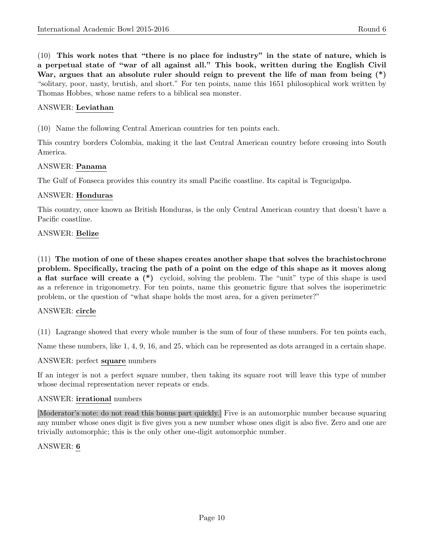(10) This work notes that "there is no place for industry" in the state of nature, which is a perpetual state of "war of all against all." This book, written during the English Civil War, argues that an absolute ruler should reign to prevent the life of man from being  $(*)$ "solitary, poor, nasty, brutish, and short." For ten points, name this 1651 philosophical work written by Thomas Hobbes, whose name refers to a biblical sea monster.

### ANSWER: Leviathan

(10) Name the following Central American countries for ten points each.

This country borders Colombia, making it the last Central American country before crossing into South America.

#### ANSWER: Panama

The Gulf of Fonseca provides this country its small Pacific coastline. Its capital is Tegucigalpa.

#### ANSWER: Honduras

This country, once known as British Honduras, is the only Central American country that doesn't have a Pacific coastline.

#### ANSWER: Belize

(11) The motion of one of these shapes creates another shape that solves the brachistochrone problem. Specifically, tracing the path of a point on the edge of this shape as it moves along a flat surface will create a (\*) cycloid, solving the problem. The "unit" type of this shape is used as a reference in trigonometry. For ten points, name this geometric figure that solves the isoperimetric problem, or the question of "what shape holds the most area, for a given perimeter?"

#### ANSWER: circle

(11) Lagrange showed that every whole number is the sum of four of these numbers. For ten points each,

Name these numbers, like 1, 4, 9, 16, and 25, which can be represented as dots arranged in a certain shape.

#### ANSWER: perfect square numbers

If an integer is not a perfect square number, then taking its square root will leave this type of number whose decimal representation never repeats or ends.

#### ANSWER: irrational numbers

[Moderator's note: do not read this bonus part quickly.] Five is an automorphic number because squaring any number whose ones digit is five gives you a new number whose ones digit is also five. Zero and one are trivially automorphic; this is the only other one-digit automorphic number.

#### ANSWER: 6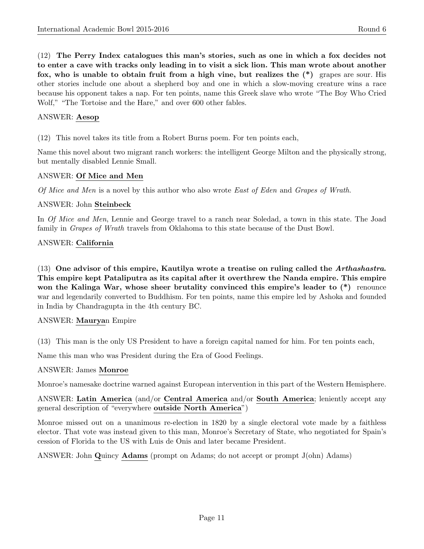(12) The Perry Index catalogues this man's stories, such as one in which a fox decides not to enter a cave with tracks only leading in to visit a sick lion. This man wrote about another fox, who is unable to obtain fruit from a high vine, but realizes the  $(*)$  grapes are sour. His other stories include one about a shepherd boy and one in which a slow-moving creature wins a race because his opponent takes a nap. For ten points, name this Greek slave who wrote "The Boy Who Cried Wolf," "The Tortoise and the Hare," and over 600 other fables.

# ANSWER: Aesop

(12) This novel takes its title from a Robert Burns poem. For ten points each,

Name this novel about two migrant ranch workers: the intelligent George Milton and the physically strong, but mentally disabled Lennie Small.

# ANSWER: Of Mice and Men

Of Mice and Men is a novel by this author who also wrote East of Eden and Grapes of Wrath.

#### ANSWER: John Steinbeck

In Of Mice and Men, Lennie and George travel to a ranch near Soledad, a town in this state. The Joad family in Grapes of Wrath travels from Oklahoma to this state because of the Dust Bowl.

# ANSWER: California

 $(13)$  One advisor of this empire, Kautilya wrote a treatise on ruling called the Arthashastra. This empire kept Pataliputra as its capital after it overthrew the Nanda empire. This empire won the Kalinga War, whose sheer brutality convinced this empire's leader to  $(*)$  renounce war and legendarily converted to Buddhism. For ten points, name this empire led by Ashoka and founded in India by Chandragupta in the 4th century BC.

#### ANSWER: Mauryan Empire

(13) This man is the only US President to have a foreign capital named for him. For ten points each,

Name this man who was President during the Era of Good Feelings.

#### ANSWER: James Monroe

Monroe's namesake doctrine warned against European intervention in this part of the Western Hemisphere.

ANSWER: Latin America (and/or Central America and/or South America; leniently accept any general description of "everywhere outside North America")

Monroe missed out on a unanimous re-election in 1820 by a single electoral vote made by a faithless elector. That vote was instead given to this man, Monroe's Secretary of State, who negotiated for Spain's cession of Florida to the US with Luis de Onis and later became President.

ANSWER: John Quincy Adams (prompt on Adams; do not accept or prompt J(ohn) Adams)